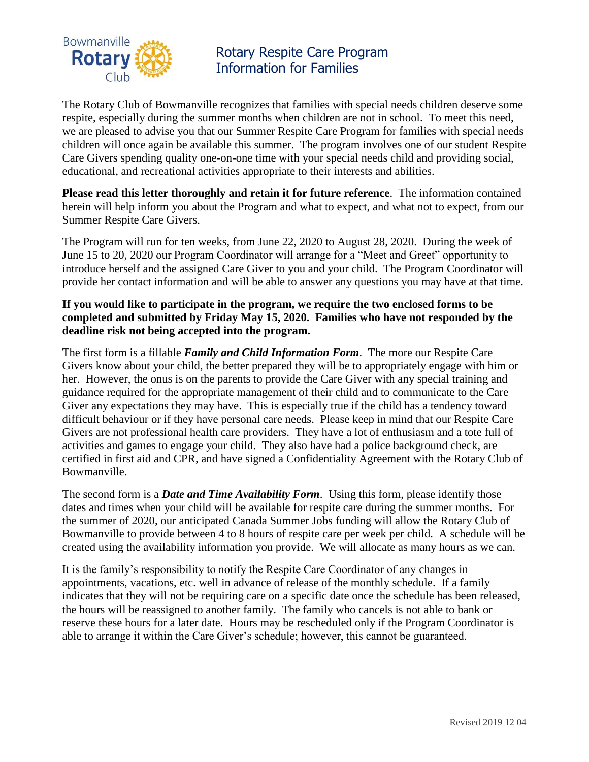

Rotary Respite Care Program Information for Families

The Rotary Club of Bowmanville recognizes that families with special needs children deserve some respite, especially during the summer months when children are not in school. To meet this need, we are pleased to advise you that our Summer Respite Care Program for families with special needs children will once again be available this summer. The program involves one of our student Respite Care Givers spending quality one-on-one time with your special needs child and providing social, educational, and recreational activities appropriate to their interests and abilities.

**Please read this letter thoroughly and retain it for future reference**. The information contained herein will help inform you about the Program and what to expect, and what not to expect, from our Summer Respite Care Givers.

The Program will run for ten weeks, from June 22, 2020 to August 28, 2020. During the week of June 15 to 20, 2020 our Program Coordinator will arrange for a "Meet and Greet" opportunity to introduce herself and the assigned Care Giver to you and your child. The Program Coordinator will provide her contact information and will be able to answer any questions you may have at that time.

## **If you would like to participate in the program, we require the two enclosed forms to be completed and submitted by Friday May 15, 2020. Families who have not responded by the deadline risk not being accepted into the program.**

The first form is a fillable *Family and Child Information Form*. The more our Respite Care Givers know about your child, the better prepared they will be to appropriately engage with him or her. However, the onus is on the parents to provide the Care Giver with any special training and guidance required for the appropriate management of their child and to communicate to the Care Giver any expectations they may have. This is especially true if the child has a tendency toward difficult behaviour or if they have personal care needs. Please keep in mind that our Respite Care Givers are not professional health care providers. They have a lot of enthusiasm and a tote full of activities and games to engage your child. They also have had a police background check, are certified in first aid and CPR, and have signed a Confidentiality Agreement with the Rotary Club of Bowmanville.

The second form is a *Date and Time Availability Form*. Using this form, please identify those dates and times when your child will be available for respite care during the summer months. For the summer of 2020, our anticipated Canada Summer Jobs funding will allow the Rotary Club of Bowmanville to provide between 4 to 8 hours of respite care per week per child. A schedule will be created using the availability information you provide. We will allocate as many hours as we can.

It is the family's responsibility to notify the Respite Care Coordinator of any changes in appointments, vacations, etc. well in advance of release of the monthly schedule. If a family indicates that they will not be requiring care on a specific date once the schedule has been released, the hours will be reassigned to another family. The family who cancels is not able to bank or reserve these hours for a later date. Hours may be rescheduled only if the Program Coordinator is able to arrange it within the Care Giver's schedule; however, this cannot be guaranteed.